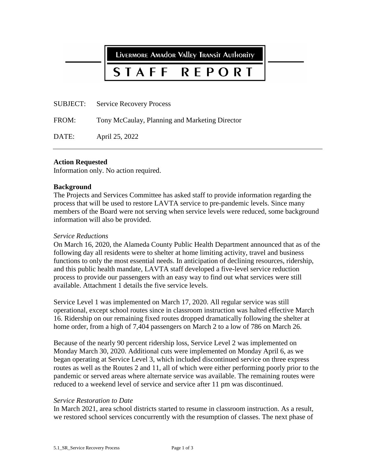LIVERMORE AMAdOR VAlley TRANSIT AUTHORITY

#### REPORT STAFF

SUBJECT: Service Recovery Process

FROM: Tony McCaulay, Planning and Marketing Director

DATE: April 25, 2022

#### **Action Requested**

Information only. No action required.

#### **Background**

The Projects and Services Committee has asked staff to provide information regarding the process that will be used to restore LAVTA service to pre-pandemic levels. Since many members of the Board were not serving when service levels were reduced, some background information will also be provided.

#### *Service Reductions*

On March 16, 2020, the Alameda County Public Health Department announced that as of the following day all residents were to shelter at home limiting activity, travel and business functions to only the most essential needs. In anticipation of declining resources, ridership, and this public health mandate, LAVTA staff developed a five-level service reduction process to provide our passengers with an easy way to find out what services were still available. Attachment 1 details the five service levels.

Service Level 1 was implemented on March 17, 2020. All regular service was still operational, except school routes since in classroom instruction was halted effective March 16. Ridership on our remaining fixed routes dropped dramatically following the shelter at home order, from a high of 7,404 passengers on March 2 to a low of 786 on March 26.

Because of the nearly 90 percent ridership loss, Service Level 2 was implemented on Monday March 30, 2020. Additional cuts were implemented on Monday April 6, as we began operating at Service Level 3, which included discontinued service on three express routes as well as the Routes 2 and 11, all of which were either performing poorly prior to the pandemic or served areas where alternate service was available. The remaining routes were reduced to a weekend level of service and service after 11 pm was discontinued.

#### *Service Restoration to Date*

In March 2021, area school districts started to resume in classroom instruction. As a result, we restored school services concurrently with the resumption of classes. The next phase of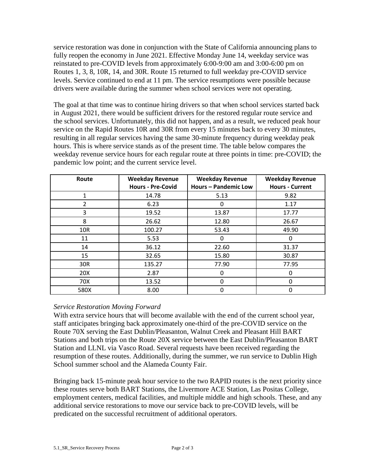service restoration was done in conjunction with the State of California announcing plans to fully reopen the economy in June 2021. Effective Monday June 14, weekday service was reinstated to pre-COVID levels from approximately 6:00-9:00 am and 3:00-6:00 pm on Routes 1, 3, 8, 10R, 14, and 30R. Route 15 returned to full weekday pre-COVID service levels. Service continued to end at 11 pm. The service resumptions were possible because drivers were available during the summer when school services were not operating.

The goal at that time was to continue hiring drivers so that when school services started back in August 2021, there would be sufficient drivers for the restored regular route service and the school services. Unfortunately, this did not happen, and as a result, we reduced peak hour service on the Rapid Routes 10R and 30R from every 15 minutes back to every 30 minutes, resulting in all regular services having the same 30-minute frequency during weekday peak hours. This is where service stands as of the present time. The table below compares the weekday revenue service hours for each regular route at three points in time: pre-COVID; the pandemic low point; and the current service level.

| Route      | <b>Weekday Revenue</b><br><b>Hours - Pre-Covid</b> | <b>Weekday Revenue</b><br><b>Hours - Pandemic Low</b> | <b>Weekday Revenue</b><br><b>Hours - Current</b> |
|------------|----------------------------------------------------|-------------------------------------------------------|--------------------------------------------------|
| 1          | 14.78                                              | 5.13                                                  | 9.82                                             |
| 2          | 6.23                                               | 0                                                     | 1.17                                             |
| 3          | 19.52                                              | 13.87                                                 | 17.77                                            |
| 8          | 26.62                                              | 12.80                                                 | 26.67                                            |
| <b>10R</b> | 100.27                                             | 53.43                                                 | 49.90                                            |
| 11         | 5.53                                               | $\Omega$                                              | 0                                                |
| 14         | 36.12                                              | 22.60                                                 | 31.37                                            |
| 15         | 32.65                                              | 15.80                                                 | 30.87                                            |
| 30R        | 135.27                                             | 77.90                                                 | 77.95                                            |
| 20X        | 2.87                                               | 0                                                     | 0                                                |
| 70X        | 13.52                                              | 0                                                     | 0                                                |
| 580X       | 8.00                                               | $\mathbf 0$                                           | 0                                                |

#### *Service Restoration Moving Forward*

With extra service hours that will become available with the end of the current school year, staff anticipates bringing back approximately one-third of the pre-COVID service on the Route 70X serving the East Dublin/Pleasanton, Walnut Creek and Pleasant Hill BART Stations and both trips on the Route 20X service between the East Dublin/Pleasanton BART Station and LLNL via Vasco Road. Several requests have been received regarding the resumption of these routes. Additionally, during the summer, we run service to Dublin High School summer school and the Alameda County Fair.

Bringing back 15-minute peak hour service to the two RAPID routes is the next priority since these routes serve both BART Stations, the Livermore ACE Station, Las Positas College, employment centers, medical facilities, and multiple middle and high schools. These, and any additional service restorations to move our service back to pre-COVID levels, will be predicated on the successful recruitment of additional operators.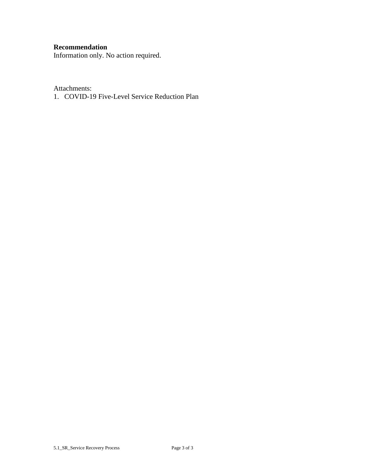### **Recommendation**

Information only. No action required.

Attachments:

1. COVID-19 Five-Level Service Reduction Plan